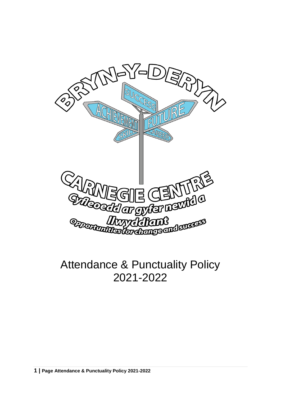

# Attendance & Punctuality Policy 2021-2022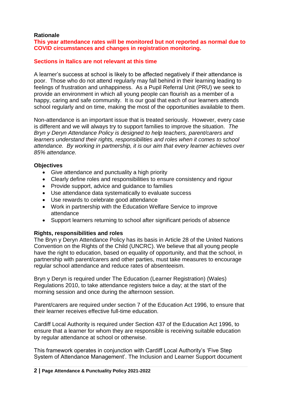#### **Rationale**

**This year attendance rates will be monitored but not reported as normal due to COVID circumstances and changes in registration monitoring.**

# **Sections in Italics are not relevant at this time**

A learner's success at school is likely to be affected negatively if their attendance is poor. Those who do not attend regularly may fall behind in their learning leading to feelings of frustration and unhappiness. As a Pupil Referral Unit (PRU) we seek to provide an environment in which all young people can flourish as a member of a happy, caring and safe community. It is our goal that each of our learners attends school regularly and on time, making the most of the opportunities available to them.

Non-attendance is an important issue that is treated seriously. However, every case is different and we will always try to support families to improve the situation. *The Bryn y Deryn Attendance Policy is designed to help teachers, parent/carers and learners understand their rights, responsibilities and roles when it comes to school attendance. By working in partnership, it is our aim that every learner achieves over 85% attendance.*

#### **Objectives**

- Give attendance and punctuality a high priority
- Clearly define roles and responsibilities to ensure consistency and rigour
- Provide support, advice and guidance to families
- Use attendance data systematically to evaluate success
- Use rewards to celebrate good attendance
- Work in partnership with the Education Welfare Service to improve attendance
- Support learners returning to school after significant periods of absence

#### **Rights, responsibilities and roles**

The Bryn y Deryn Attendance Policy has its basis in Article 28 of the United Nations Convention on the Rights of the Child (UNCRC). We believe that all young people have the right to education, based on equality of opportunity, and that the school, in partnership with parent/carers and other parties, must take measures to encourage regular school attendance and reduce rates of absenteeism.

Bryn y Deryn is required under The Education (Learner Registration) (Wales) Regulations 2010, to take attendance registers twice a day; at the start of the morning session and once during the afternoon session.

Parent/carers are required under section 7 of the Education Act 1996, to ensure that their learner receives effective full-time education.

Cardiff Local Authority is required under Section 437 of the Education Act 1996, to ensure that a learner for whom they are responsible is receiving suitable education by regular attendance at school or otherwise.

This framework operates in conjunction with Cardiff Local Authority's 'Five Step System of Attendance Management'. The Inclusion and Learner Support document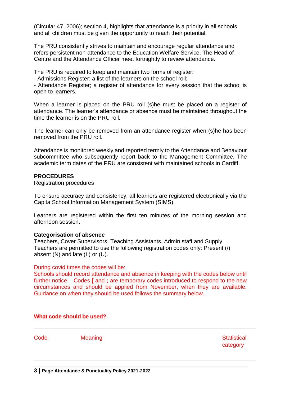(Circular 47, 2006); section 4, highlights that attendance is a priority in all schools and all children must be given the opportunity to reach their potential.

The PRU consistently strives to maintain and encourage regular attendance and refers persistent non-attendance to the Education Welfare Service. The Head of Centre and the Attendance Officer meet fortnightly to review attendance.

The PRU is required to keep and maintain two forms of register:

- Admissions Register; a list of the learners on the school roll;

- Attendance Register; a register of attendance for every session that the school is open to learners.

When a learner is placed on the PRU roll (s)he must be placed on a register of attendance. The learner's attendance or absence must be maintained throughout the time the learner is on the PRU roll.

The learner can only be removed from an attendance register when (s)he has been removed from the PRU roll.

Attendance is monitored weekly and reported termly to the Attendance and Behaviour subcommittee who subsequently report back to the Management Committee. The academic term dates of the PRU are consistent with maintained schools in Cardiff.

#### **PROCEDURES**

Registration procedures

To ensure accuracy and consistency, all learners are registered electronically via the Capita School Information Management System (SIMS).

Learners are registered within the first ten minutes of the morning session and afternoon session.

#### **Categorisation of absence**

Teachers, Cover Supervisors, Teaching Assistants, Admin staff and Supply Teachers are permitted to use the following registration codes only: Present (/) absent (N) and late (L) or (U).

#### During covid times the codes will be:

Schools should record attendance and absence in keeping with the codes below until further notice. Codes **[** and **;** are temporary codes introduced to respond to the new circumstances and should be applied from November, when they are available. Guidance on when they should be used follows the summary below.

#### **What code should be used?**

Code Meaning **Statistical** category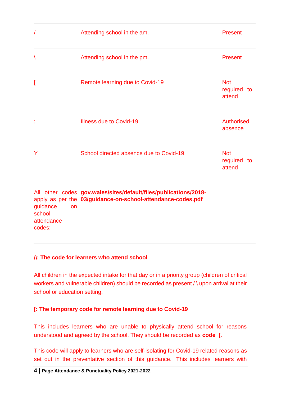| $\sqrt{2}$  | Attending school in the am.              | <b>Present</b>                      |
|-------------|------------------------------------------|-------------------------------------|
| $\setminus$ | Attending school in the pm.              | <b>Present</b>                      |
| I           | Remote learning due to Covid-19          | <b>Not</b><br>required to<br>attend |
| ţ           | <b>Illness due to Covid-19</b>           | <b>Authorised</b><br>absence        |
| Y           | School directed absence due to Covid-19. | <b>Not</b><br>required to<br>attend |
|             |                                          |                                     |

All other codes **[gov.wales/sites/default/files/publications/2018](https://gov.wales/gov.wales/sites/default/files/publications/2018-%2003/guidance-on-school-attendance-codes.pdf)** apply as per the **[03/guidance-on-school-attendance-codes.pdf](https://gov.wales/gov.wales/sites/default/files/publications/2018-%2003/guidance-on-school-attendance-codes.pdf)** guidance on school attendance codes:

# **/\: The code for learners who attend school**

All children in the expected intake for that day or in a priority group (children of critical workers and vulnerable children) should be recorded as present / \ upon arrival at their school or education setting.

# **[: The temporary code for remote learning due to Covid-19**

This includes learners who are unable to physically attend school for reasons understood and agreed by the school. They should be recorded as **code [**.

This code will apply to learners who are self-isolating for Covid-19 related reasons as set out in the preventative section of this guidance. This includes learners with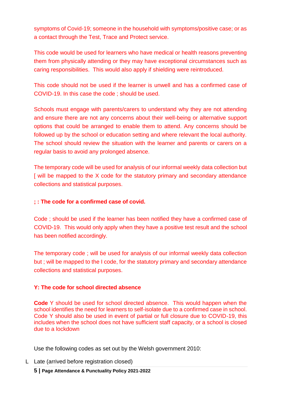symptoms of Covid-19; someone in the household with symptoms/positive case; or as a contact through the Test, Trace and Protect service.

This code would be used for learners who have medical or health reasons preventing them from physically attending or they may have exceptional circumstances such as caring responsibilities. This would also apply if shielding were reintroduced.

This code should not be used if the learner is unwell and has a confirmed case of COVID-19. In this case the code ; should be used.

Schools must engage with parents/carers to understand why they are not attending and ensure there are not any concerns about their well-being or alternative support options that could be arranged to enable them to attend. Any concerns should be followed up by the school or education setting and where relevant the local authority. The school should review the situation with the learner and parents or carers on a regular basis to avoid any prolonged absence.

The temporary code will be used for analysis of our informal weekly data collection but [ will be mapped to the X code for the statutory primary and secondary attendance collections and statistical purposes.

# **; : The code for a confirmed case of covid.**

Code ; should be used if the learner has been notified they have a confirmed case of COVID-19. This would only apply when they have a positive test result and the school has been notified accordingly.

The temporary code ; will be used for analysis of our informal weekly data collection but ; will be mapped to the I code, for the statutory primary and secondary attendance collections and statistical purposes.

# **Y: The code for school directed absence**

**Code** Y should be used for school directed absence. This would happen when the school identifies the need for learners to self-isolate due to a confirmed case in school. Code Y should also be used in event of partial or full closure due to COVID-19, this includes when the school does not have sufficient staff capacity, or a school is closed due to a lockdown

Use the following codes as set out by the Welsh government 2010:

L Late (arrived before registration closed)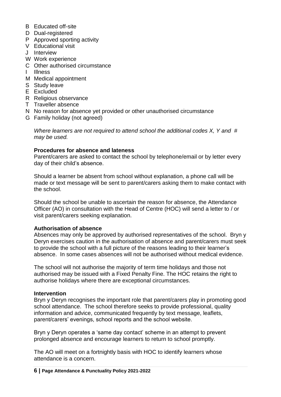- B Educated off-site
- D Dual-registered
- P Approved sporting activity
- V Educational visit
- J Interview
- W Work experience
- C Other authorised circumstance
- I Illness
- M Medical appointment
- S Study leave
- E Excluded
- R Religious observance
- T Traveller absence
- N No reason for absence yet provided or other unauthorised circumstance
- G Family holiday (not agreed)

*Where learners are not required to attend school the additional codes X, Y and # may be used.*

## **Procedures for absence and lateness**

Parent/carers are asked to contact the school by telephone/email or by letter every day of their child's absence.

Should a learner be absent from school without explanation, a phone call will be made or text message will be sent to parent/carers asking them to make contact with the school.

Should the school be unable to ascertain the reason for absence, the Attendance Officer (AO) in consultation with the Head of Centre (HOC) will send a letter to / or visit parent/carers seeking explanation.

#### **Authorisation of absence**

Absences may only be approved by authorised representatives of the school. Bryn y Deryn exercises caution in the authorisation of absence and parent/carers must seek to provide the school with a full picture of the reasons leading to their learner's absence. In some cases absences will not be authorised without medical evidence.

The school will not authorise the majority of term time holidays and those not authorised may be issued with a Fixed Penalty Fine. The HOC retains the right to authorise holidays where there are exceptional circumstances.

#### **Intervention**

Bryn y Deryn recognises the important role that parent/carers play in promoting good school attendance. The school therefore seeks to provide professional, quality information and advice, communicated frequently by text message, leaflets, parent/carers' evenings, school reports and the school website.

Bryn y Deryn operates a 'same day contact' scheme in an attempt to prevent prolonged absence and encourage learners to return to school promptly.

The AO will meet on a fortnightly basis with HOC to identify learners whose attendance is a concern.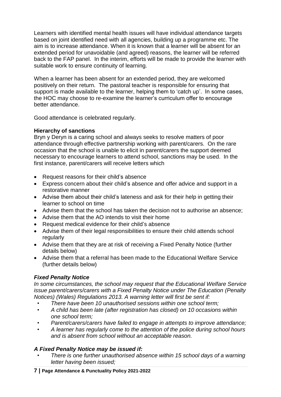Learners with identified mental health issues will have individual attendance targets based on joint identified need with all agencies, building up a programme etc. The aim is to increase attendance. When it is known that a learner will be absent for an extended period for unavoidable (and agreed) reasons, the learner will be referred back to the FAP panel. In the interim, efforts will be made to provide the learner with suitable work to ensure continuity of learning.

When a learner has been absent for an extended period, they are welcomed positively on their return. The pastoral teacher is responsible for ensuring that support is made available to the learner, helping them to 'catch up'. In some cases, the HOC may choose to re-examine the learner's curriculum offer to encourage better attendance.

Good attendance is celebrated regularly.

## **Hierarchy of sanctions**

Bryn y Deryn is a caring school and always seeks to resolve matters of poor attendance through effective partnership working with parent/carers. On the rare occasion that the school is unable to elicit in parent/carers the support deemed necessary to encourage learners to attend school, sanctions may be used. In the first instance, parent/carers will receive letters which

- Request reasons for their child's absence
- Express concern about their child's absence and offer advice and support in a restorative manner
- Advise them about their child's lateness and ask for their help in getting their learner to school on time
- Advise them that the school has taken the decision not to authorise an absence;
- Advise them that the AO intends to visit their home
- Request medical evidence for their child's absence
- Advise them of their legal responsibilities to ensure their child attends school regularly
- Advise them that they are at risk of receiving a Fixed Penalty Notice (further details below)
- Advise them that a referral has been made to the Educational Welfare Service (further details below)

# *Fixed Penalty Notice*

*In some circumstances, the school may request that the Educational Welfare Service issue parent/carers/carers with a Fixed Penalty Notice under The Education (Penalty Notices) (Wales) Regulations 2013. A warning letter will first be sent if:*

- *• There have been 10 unauthorised sessions within one school term;*
- *• A child has been late (after registration has closed) on 10 occasions within one school term;*
- *• Parent/carers/carers have failed to engage in attempts to improve attendance;*
- *• A learner has regularly come to the attention of the police during school hours and is absent from school without an acceptable reason.*

# *A Fixed Penalty Notice may be issued if:*

*• There is one further unauthorised absence within 15 school days of a warning letter having been issued;*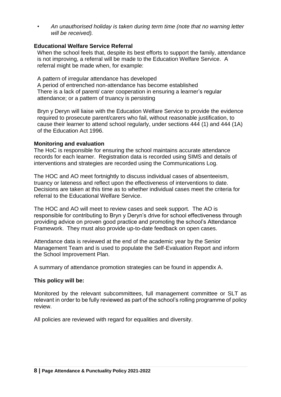*• An unauthorised holiday is taken during term time (note that no warning letter will be received).*

# **Educational Welfare Service Referral**

When the school feels that, despite its best efforts to support the family, attendance is not improving, a referral will be made to the Education Welfare Service. A referral might be made when, for example:

A pattern of irregular attendance has developed A period of entrenched non-attendance has become established There is a lack of parent/ carer cooperation in ensuring a learner's regular attendance; or a pattern of truancy is persisting

Bryn y Deryn will liaise with the Education Welfare Service to provide the evidence required to prosecute parent/carers who fail, without reasonable justification, to cause their learner to attend school regularly, under sections 444 (1) and 444 (1A) of the Education Act 1996.

# **Monitoring and evaluation**

The HoC is responsible for ensuring the school maintains accurate attendance records for each learner. Registration data is recorded using SIMS and details of interventions and strategies are recorded using the Communications Log.

The HOC and AO meet fortnightly to discuss individual cases of absenteeism, truancy or lateness and reflect upon the effectiveness of interventions to date. Decisions are taken at this time as to whether individual cases meet the criteria for referral to the Educational Welfare Service.

The HOC and AO will meet to review cases and seek support. The AO is responsible for contributing to Bryn y Deryn's drive for school effectiveness through providing advice on proven good practice and promoting the school's Attendance Framework. They must also provide up-to-date feedback on open cases.

Attendance data is reviewed at the end of the academic year by the Senior Management Team and is used to populate the Self-Evaluation Report and inform the School Improvement Plan.

A summary of attendance promotion strategies can be found in appendix A.

# **This policy will be:**

Monitored by the relevant subcommittees, full management committee or SLT as relevant in order to be fully reviewed as part of the school's rolling programme of policy review.

All policies are reviewed with regard for equalities and diversity.